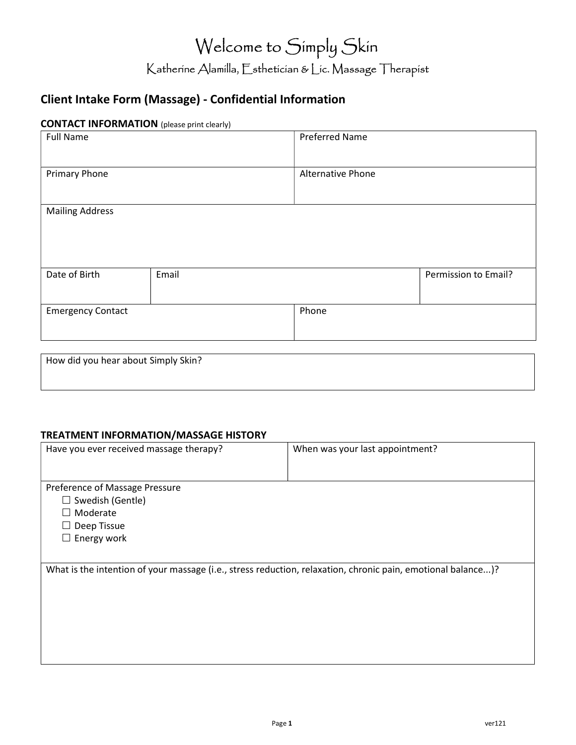# Welcome to Simply Skin Katherine Alamilla, Esthetician & Lic. Massage Therapist

# Client Intake Form (Massage) - Confidential Information

## CONTACT INFORMATION (please print clearly)

| <b>Full Name</b>         |       | <b>Preferred Name</b> |                      |
|--------------------------|-------|-----------------------|----------------------|
| <b>Primary Phone</b>     |       | Alternative Phone     |                      |
| <b>Mailing Address</b>   |       |                       |                      |
| Date of Birth            | Email |                       | Permission to Email? |
| <b>Emergency Contact</b> |       | Phone                 |                      |

| How did you hear about Simply Skin? |  |  |
|-------------------------------------|--|--|
|                                     |  |  |
|                                     |  |  |

#### TREATMENT INFORMATION/MASSAGE HISTORY

| Have you ever received massage therapy? | When was your last appointment?                                                                              |
|-----------------------------------------|--------------------------------------------------------------------------------------------------------------|
|                                         |                                                                                                              |
| Preference of Massage Pressure          |                                                                                                              |
| $\Box$ Swedish (Gentle)                 |                                                                                                              |
| $\Box$ Moderate                         |                                                                                                              |
| Deep Tissue                             |                                                                                                              |
| $\Box$ Energy work                      |                                                                                                              |
|                                         |                                                                                                              |
|                                         | What is the intention of your massage (i.e., stress reduction, relaxation, chronic pain, emotional balance)? |
|                                         |                                                                                                              |
|                                         |                                                                                                              |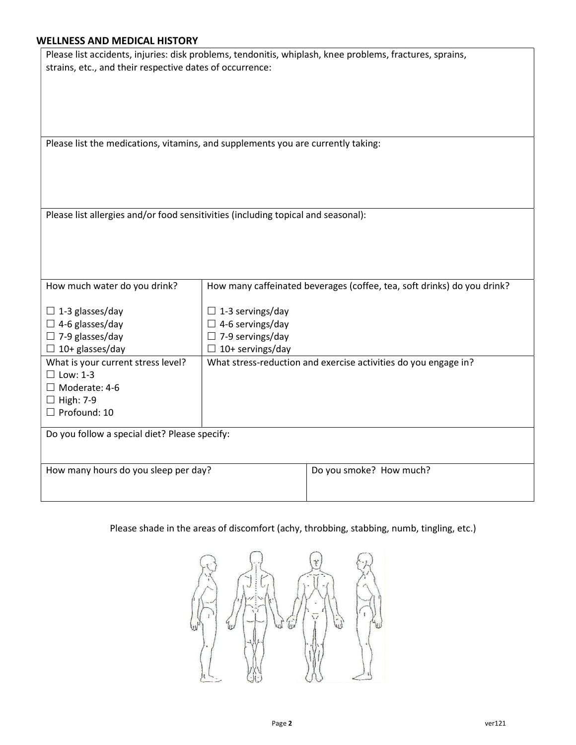### WELLNESS AND MEDICAL HISTORY

|                                                                                   |                                                                         | Please list accidents, injuries: disk problems, tendonitis, whiplash, knee problems, fractures, sprains, |  |  |  |  |
|-----------------------------------------------------------------------------------|-------------------------------------------------------------------------|----------------------------------------------------------------------------------------------------------|--|--|--|--|
| strains, etc., and their respective dates of occurrence:                          |                                                                         |                                                                                                          |  |  |  |  |
|                                                                                   |                                                                         |                                                                                                          |  |  |  |  |
|                                                                                   |                                                                         |                                                                                                          |  |  |  |  |
|                                                                                   |                                                                         |                                                                                                          |  |  |  |  |
|                                                                                   |                                                                         |                                                                                                          |  |  |  |  |
| Please list the medications, vitamins, and supplements you are currently taking:  |                                                                         |                                                                                                          |  |  |  |  |
|                                                                                   |                                                                         |                                                                                                          |  |  |  |  |
|                                                                                   |                                                                         |                                                                                                          |  |  |  |  |
|                                                                                   |                                                                         |                                                                                                          |  |  |  |  |
|                                                                                   |                                                                         |                                                                                                          |  |  |  |  |
| Please list allergies and/or food sensitivities (including topical and seasonal): |                                                                         |                                                                                                          |  |  |  |  |
|                                                                                   |                                                                         |                                                                                                          |  |  |  |  |
|                                                                                   |                                                                         |                                                                                                          |  |  |  |  |
|                                                                                   |                                                                         |                                                                                                          |  |  |  |  |
|                                                                                   |                                                                         |                                                                                                          |  |  |  |  |
| How much water do you drink?                                                      |                                                                         |                                                                                                          |  |  |  |  |
|                                                                                   | How many caffeinated beverages (coffee, tea, soft drinks) do you drink? |                                                                                                          |  |  |  |  |
| $\Box$ 1-3 glasses/day                                                            | $\Box$ 1-3 servings/day                                                 |                                                                                                          |  |  |  |  |
| $\Box$ 4-6 glasses/day                                                            | $\Box$ 4-6 servings/day                                                 |                                                                                                          |  |  |  |  |
| $\Box$ 7-9 glasses/day                                                            | $\Box$ 7-9 servings/day                                                 |                                                                                                          |  |  |  |  |
| $\Box$ 10+ glasses/day                                                            | $\Box$ 10+ servings/day                                                 |                                                                                                          |  |  |  |  |
| What is your current stress level?                                                | What stress-reduction and exercise activities do you engage in?         |                                                                                                          |  |  |  |  |
| $\Box$ Low: 1-3                                                                   |                                                                         |                                                                                                          |  |  |  |  |
| $\Box$ Moderate: 4-6<br>$\Box$ High: 7-9                                          |                                                                         |                                                                                                          |  |  |  |  |
| $\Box$ Profound: 10                                                               |                                                                         |                                                                                                          |  |  |  |  |
|                                                                                   |                                                                         |                                                                                                          |  |  |  |  |
| Do you follow a special diet? Please specify:                                     |                                                                         |                                                                                                          |  |  |  |  |
|                                                                                   |                                                                         |                                                                                                          |  |  |  |  |
| How many hours do you sleep per day?                                              |                                                                         | Do you smoke? How much?                                                                                  |  |  |  |  |
|                                                                                   |                                                                         |                                                                                                          |  |  |  |  |
|                                                                                   |                                                                         |                                                                                                          |  |  |  |  |

# Please shade in the areas of discomfort (achy, throbbing, stabbing, numb, tingling, etc.)